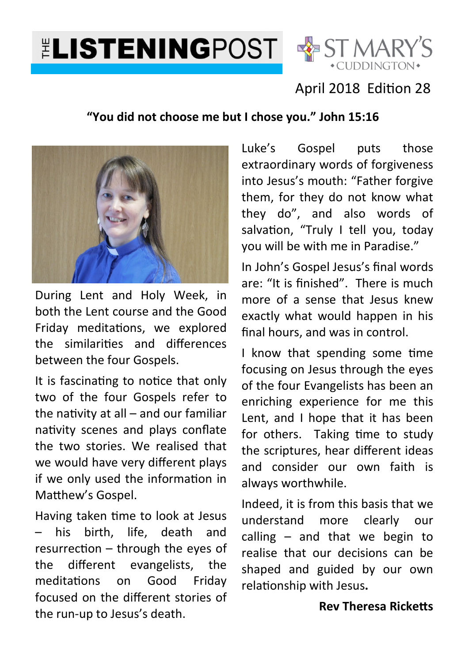# **ELISTENINGPOST SE ST MARY'S**



## April 2018 Edition 28

#### **"You did not choose me but I chose you." John 15:16**



During Lent and Holy Week, in both the Lent course and the Good Friday meditations, we explored the similarities and differences between the four Gospels.

It is fascinating to notice that only two of the four Gospels refer to the nativity at  $all$  – and our familiar nativity scenes and plays conflate the two stories. We realised that we would have very different plays if we only used the information in Matthew's Gospel.

Having taken time to look at Jesus his birth, life, death and  $resurrection - through the eyes of$ the different evangelists, the meditations on Good Fridav focused on the different stories of the run-up to Jesus's death.

Luke's Gospel puts those extraordinary words of forgiveness into Jesus's mouth: "Father forgive them, for they do not know what they do", and also words of salvation, "Truly I tell you, today you will be with me in Paradise."

In John's Gospel Jesus's final words are: "It is finished". There is much more of a sense that Jesus knew exactly what would happen in his final hours, and was in control.

I know that spending some time focusing on Jesus through the eyes of the four Evangelists has been an enriching experience for me this Lent, and I hope that it has been for others. Taking time to study the scriptures, hear different ideas and consider our own faith is always worthwhile.

Indeed, it is from this basis that we understand more clearly our calling – and that we begin to realise that our decisions can be shaped and guided by our own relationship with Jesus.

#### **Rev Theresa Ricketts**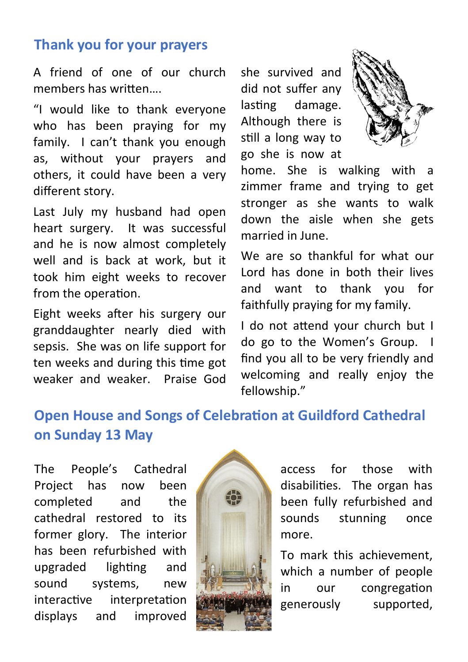### **Thank you for your prayers**

A friend of one of our church memhers has written

"I would like to thank everyone who has been praying for my family. I can't thank you enough as, without your prayers and others, it could have been a very different story.

Last July my husband had open heart surgery. It was successful and he is now almost completely well and is back at work, but it took him eight weeks to recover from the operation.

Eight weeks after his surgery our granddaughter nearly died with sepsis. She was on life support for ten weeks and during this time got weaker and weaker. Praise God she survived and did not suffer any lasting damage. Although there is still a long way to go she is now at



home. She is walking with a zimmer frame and trying to get stronger as she wants to walk down the aisle when she gets married in June.

We are so thankful for what our Lord has done in both their lives and want to thank you for faithfully praying for my family.

I do not attend your church but I do go to the Women's Group. I find you all to be very friendly and welcoming and really enjoy the fellowship."

# **Open House and Songs of Celebration at Guildford Cathedral on Sunday 13 May**

The People's Cathedral Project has now been completed and the cathedral restored to its former glory. The interior has been refurbished with upgraded ligh
ng and sound systems, new interactive interpretation displays and improved



access for those with disabili
es. The organ has been fully refurbished and sounds stunning once more.

To mark this achievement, which a number of people in our congregation generously supported,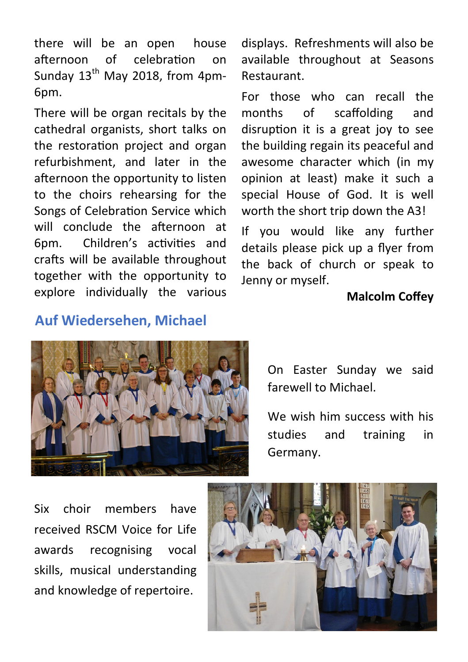there will be an open house afternoon of celebration on Sunday  $13<sup>th</sup>$  May 2018, from 4pm-6pm.

There will be organ recitals by the cathedral organists, short talks on the restoration project and organ refurbishment, and later in the afternoon the opportunity to listen to the choirs rehearsing for the Songs of Celebration Service which will conclude the afternoon at 6pm. Children's activities and crafts will be available throughout together with the opportunity to explore individually the various displays. Refreshments will also be available throughout at Seasons Restaurant.

For those who can recall the months of scaffolding and disruption it is a great joy to see the building regain its peaceful and awesome character which (in my opinion at least) make it such a special House of God. It is well worth the short trip down the A3!

If you would like any further details please pick up a flyer from the back of church or speak to Jenny or myself.

#### **Malcolm Coffey**

#### **Auf Wiedersehen, Michael**



On Easter Sunday we said farewell to Michael.

We wish him success with his studies and training in Germany.

Six choir members have received RSCM Voice for Life awards recognising vocal skills, musical understanding and knowledge of repertoire.